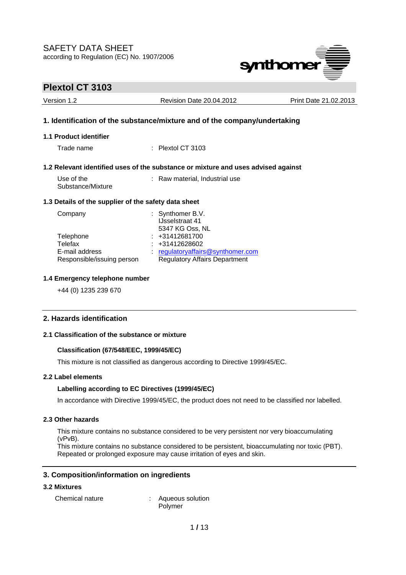

| Version 1.2                                          | <b>Revision Date 20.04.2012</b>                                                   | Print Date 21.02.2013 |
|------------------------------------------------------|-----------------------------------------------------------------------------------|-----------------------|
|                                                      | 1. Identification of the substance/mixture and of the company/undertaking         |                       |
| 1.1 Product identifier                               |                                                                                   |                       |
| Trade name                                           | $\therefore$ Plextol CT 3103                                                      |                       |
|                                                      | 1.2 Relevant identified uses of the substance or mixture and uses advised against |                       |
| Use of the<br>Substance/Mixture                      | : Raw material, Industrial use                                                    |                       |
| 1.3 Details of the supplier of the safety data sheet |                                                                                   |                       |
| Company                                              | : Synthomer B.V.<br><b>IJsselstraat 41</b><br>FO 47 1/6 A NII                     |                       |

|                            | 199961911 ddl 41                     |  |
|----------------------------|--------------------------------------|--|
|                            | 5347 KG Oss, NL                      |  |
| Telephone                  | $: +31412681700$                     |  |
| Telefax                    | $: +31412628602$                     |  |
| E-mail address             | regulatoryaffairs@synthomer.com      |  |
| Responsible/issuing person | <b>Regulatory Affairs Department</b> |  |
|                            |                                      |  |

### **1.4 Emergency telephone number**

+44 (0) 1235 239 670

## **2. Hazards identification**

## **2.1 Classification of the substance or mixture**

### **Classification (67/548/EEC, 1999/45/EC)**

This mixture is not classified as dangerous according to Directive 1999/45/EC.

### **2.2 Label elements**

### **Labelling according to EC Directives (1999/45/EC)**

In accordance with Directive 1999/45/EC, the product does not need to be classified nor labelled.

### **2.3 Other hazards**

This mixture contains no substance considered to be very persistent nor very bioaccumulating (vPvB).

This mixture contains no substance considered to be persistent, bioaccumulating nor toxic (PBT). Repeated or prolonged exposure may cause irritation of eyes and skin.

## **3. Composition/information on ingredients**

### **3.2 Mixtures**

Chemical nature : Aqueous solution Polymer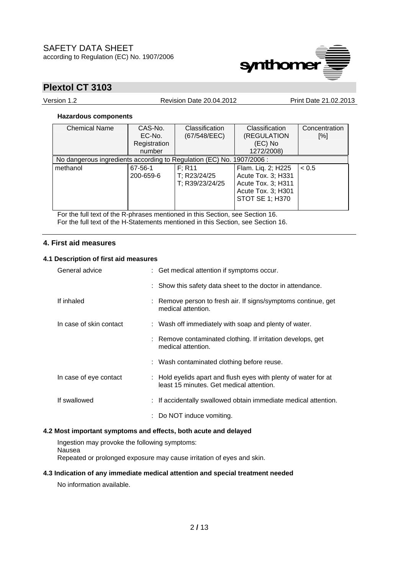

Version 1.2 Revision Date 20.04.2012 Print Date 21.02.2013

## **Hazardous components**

| <b>Chemical Name</b>                                                  | CAS-No.<br>EC-No.<br>Registration<br>number | <b>Classification</b><br>(67/548/EEC)     | <b>Classification</b><br>(REGULATION<br>(EC) No<br>1272/2008)                                                  | Concentration<br>[%] |
|-----------------------------------------------------------------------|---------------------------------------------|-------------------------------------------|----------------------------------------------------------------------------------------------------------------|----------------------|
| No dangerous ingredients according to Regulation (EC) No. 1907/2006 : |                                             |                                           |                                                                                                                |                      |
| methanol                                                              | 67-56-1<br>200-659-6                        | F: R11<br>T; R23/24/25<br>T; R39/23/24/25 | Flam. Lig. 2; H225<br>Acute Tox. 3; H331<br>Acute Tox. 3; H311<br>Acute Tox. 3; H301<br><b>STOT SE 1; H370</b> | < 0.5                |

For the full text of the R-phrases mentioned in this Section, see Section 16. For the full text of the H-Statements mentioned in this Section, see Section 16.

## **4. First aid measures**

### **4.1 Description of first aid measures**

| General advice          | : Get medical attention if symptoms occur.                                                                  |
|-------------------------|-------------------------------------------------------------------------------------------------------------|
|                         | : Show this safety data sheet to the doctor in attendance.                                                  |
| If inhaled              | : Remove person to fresh air. If signs/symptoms continue, get<br>medical attention.                         |
| In case of skin contact | : Wash off immediately with soap and plenty of water.                                                       |
|                         | : Remove contaminated clothing. If irritation develops, get<br>medical attention.                           |
|                         | : Wash contaminated clothing before reuse.                                                                  |
| In case of eye contact  | : Hold eyelids apart and flush eyes with plenty of water for at<br>least 15 minutes. Get medical attention. |
| If swallowed            | : If accidentally swallowed obtain immediate medical attention.                                             |
|                         | : Do NOT induce vomiting.                                                                                   |

## **4.2 Most important symptoms and effects, both acute and delayed**

Ingestion may provoke the following symptoms: Nausea Repeated or prolonged exposure may cause irritation of eyes and skin.

### **4.3 Indication of any immediate medical attention and special treatment needed**

No information available.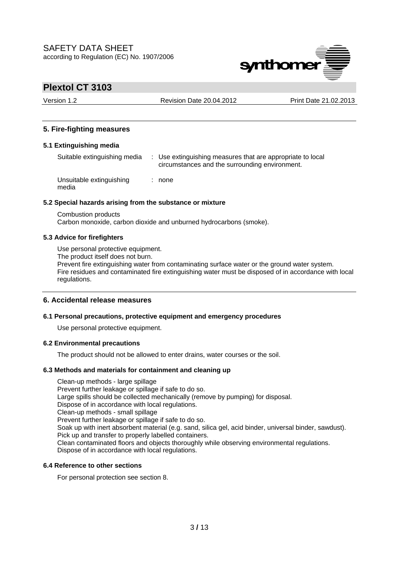

Version 1.2 Revision Date 20.04.2012 Print Date 21.02.2013

## **5. Fire-fighting measures**

### **5.1 Extinguishing media**

Suitable extinguishing media : Use extinguishing measures that are appropriate to local circumstances and the surrounding environment. Unsuitable extinguishing media : none

### **5.2 Special hazards arising from the substance or mixture**

Combustion products Carbon monoxide, carbon dioxide and unburned hydrocarbons (smoke).

### **5.3 Advice for firefighters**

Use personal protective equipment.

The product itself does not burn.

Prevent fire extinguishing water from contaminating surface water or the ground water system. Fire residues and contaminated fire extinguishing water must be disposed of in accordance with local regulations.

## **6. Accidental release measures**

## **6.1 Personal precautions, protective equipment and emergency procedures**

Use personal protective equipment.

## **6.2 Environmental precautions**

The product should not be allowed to enter drains, water courses or the soil.

### **6.3 Methods and materials for containment and cleaning up**

Clean-up methods - large spillage Prevent further leakage or spillage if safe to do so. Large spills should be collected mechanically (remove by pumping) for disposal. Dispose of in accordance with local regulations. Clean-up methods - small spillage Prevent further leakage or spillage if safe to do so. Soak up with inert absorbent material (e.g. sand, silica gel, acid binder, universal binder, sawdust). Pick up and transfer to properly labelled containers. Clean contaminated floors and objects thoroughly while observing environmental regulations. Dispose of in accordance with local regulations.

## **6.4 Reference to other sections**

For personal protection see section 8.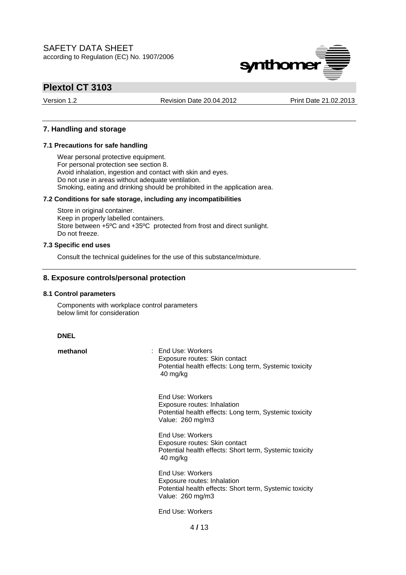

Version 1.2 Revision Date 20.04.2012 Print Date 21.02.2013

### **7. Handling and storage**

### **7.1 Precautions for safe handling**

Wear personal protective equipment. For personal protection see section 8. Avoid inhalation, ingestion and contact with skin and eyes. Do not use in areas without adequate ventilation. Smoking, eating and drinking should be prohibited in the application area.

### **7.2 Conditions for safe storage, including any incompatibilities**

Store in original container. Keep in properly labelled containers. Store between +5ºC and +35ºC protected from frost and direct sunlight. Do not freeze.

### **7.3 Specific end uses**

Consult the technical guidelines for the use of this substance/mixture.

### **8. Exposure controls/personal protection**

#### **8.1 Control parameters**

Components with workplace control parameters below limit for consideration

#### **DNEL**

**methanol** : End Use: Workers Exposure routes: Skin contact Potential health effects: Long term, Systemic toxicity 40 mg/kg

> End Use: Workers Exposure routes: Inhalation Potential health effects: Long term, Systemic toxicity Value: 260 mg/m3

> End Use: Workers Exposure routes: Skin contact Potential health effects: Short term, Systemic toxicity 40 mg/kg

> End Use: Workers Exposure routes: Inhalation Potential health effects: Short term, Systemic toxicity Value: 260 mg/m3

End Use: Workers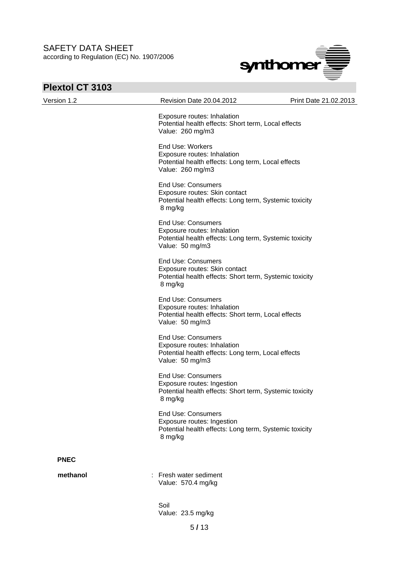

# **Plextol CT 3103**

| Version 1.2 | Revision Date 20.04.2012                                                                                                              | Print Date 21.02.2013 |
|-------------|---------------------------------------------------------------------------------------------------------------------------------------|-----------------------|
|             | Exposure routes: Inhalation<br>Potential health effects: Short term, Local effects<br>Value: 260 mg/m3                                |                       |
|             | End Use: Workers<br>Exposure routes: Inhalation<br>Potential health effects: Long term, Local effects<br>Value: 260 mg/m3             |                       |
|             | <b>End Use: Consumers</b><br>Exposure routes: Skin contact<br>Potential health effects: Long term, Systemic toxicity<br>8 mg/kg       |                       |
|             | <b>End Use: Consumers</b><br>Exposure routes: Inhalation<br>Potential health effects: Long term, Systemic toxicity<br>Value: 50 mg/m3 |                       |
|             | <b>End Use: Consumers</b><br>Exposure routes: Skin contact<br>Potential health effects: Short term, Systemic toxicity<br>8 mg/kg      |                       |
|             | <b>End Use: Consumers</b><br>Exposure routes: Inhalation<br>Potential health effects: Short term, Local effects<br>Value: 50 mg/m3    |                       |
|             | <b>End Use: Consumers</b><br>Exposure routes: Inhalation<br>Potential health effects: Long term, Local effects<br>Value: 50 mg/m3     |                       |
|             | <b>End Use: Consumers</b><br>Exposure routes: Ingestion<br>Potential health effects: Short term, Systemic toxicity<br>8 mg/kg         |                       |
|             | <b>End Use: Consumers</b><br>Exposure routes: Ingestion<br>Potential health effects: Long term, Systemic toxicity<br>8 mg/kg          |                       |
| <b>PNEC</b> |                                                                                                                                       |                       |
| methanol    | : Fresh water sediment<br>Value: 570.4 mg/kg                                                                                          |                       |
|             | Soil<br>Value: 23.5 mg/kg                                                                                                             |                       |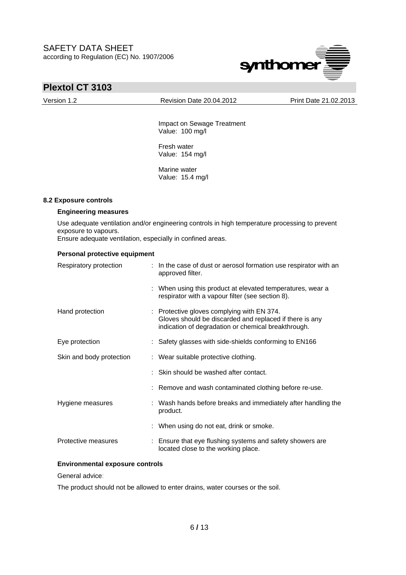

Version 1.2 Revision Date 20.04.2012 Print Date 21.02.2013

 Impact on Sewage Treatment Value: 100 mg/l

 Fresh water Value: 154 mg/l

 Marine water Value: 15.4 mg/l

### **8.2 Exposure controls**

### **Engineering measures**

Use adequate ventilation and/or engineering controls in high temperature processing to prevent exposure to vapours.

Ensure adequate ventilation, especially in confined areas.

### **Personal protective equipment**

| Respiratory protection   | : In the case of dust or aerosol formation use respirator with an<br>approved filter.                                                                        |
|--------------------------|--------------------------------------------------------------------------------------------------------------------------------------------------------------|
|                          | : When using this product at elevated temperatures, wear a<br>respirator with a vapour filter (see section 8).                                               |
| Hand protection          | : Protective gloves complying with EN 374.<br>Gloves should be discarded and replaced if there is any<br>indication of degradation or chemical breakthrough. |
| Eye protection           | : Safety glasses with side-shields conforming to EN166                                                                                                       |
| Skin and body protection | : Wear suitable protective clothing.                                                                                                                         |
|                          | : Skin should be washed after contact.                                                                                                                       |
|                          | : Remove and wash contaminated clothing before re-use.                                                                                                       |
| Hygiene measures         | : Wash hands before breaks and immediately after handling the<br>product.                                                                                    |
|                          | : When using do not eat, drink or smoke.                                                                                                                     |
| Protective measures      | : Ensure that eye flushing systems and safety showers are<br>located close to the working place.                                                             |

## **Environmental exposure controls**

General advice:

The product should not be allowed to enter drains, water courses or the soil.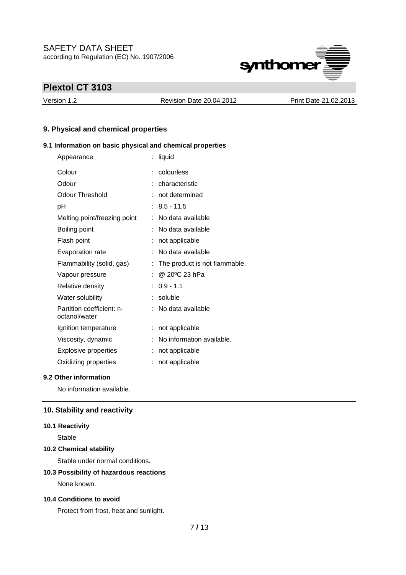

Version 1.2 Revision Date 20.04.2012 Print Date 21.02.2013

## **9. Physical and chemical properties**

## **9.1 Information on basic physical and chemical properties**

| Appearance                                 | ÷. | liquid                        |
|--------------------------------------------|----|-------------------------------|
| Colour                                     | ÷  | colourless                    |
| Odour                                      |    | characteristic                |
| Odour Threshold                            | t  | not determined                |
| рH                                         | ÷  | $8.5 - 11.5$                  |
| Melting point/freezing point               | t  | No data available             |
| Boiling point                              | ÷  | No data available             |
| Flash point                                |    | not applicable                |
| Evaporation rate                           | ÷  | No data available             |
| Flammability (solid, gas)                  | t  | The product is not flammable. |
| Vapour pressure                            | t  | @ 20°C 23 hPa                 |
| Relative density                           | t. | $0.9 - 1.1$                   |
| Water solubility                           | ÷  | soluble                       |
| Partition coefficient: n-<br>octanol/water |    | No data available             |
| Ignition temperature                       | ÷  | not applicable                |
| Viscosity, dynamic                         |    | No information available.     |
| <b>Explosive properties</b>                |    | not applicable                |
| Oxidizing properties                       |    | not applicable                |

### **9.2 Other information**

No information available.

## **10. Stability and reactivity**

### **10.1 Reactivity**

Stable

## **10.2 Chemical stability**

Stable under normal conditions.

### **10.3 Possibility of hazardous reactions**

None known.

### **10.4 Conditions to avoid**

Protect from frost, heat and sunlight.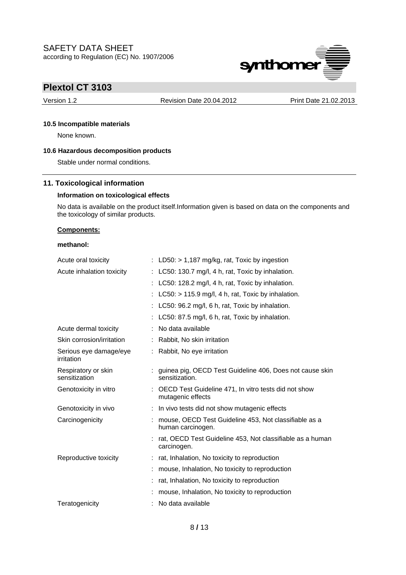

Version 1.2 Revision Date 20.04.2012 Print Date 21.02.2013

### **10.5 Incompatible materials**

None known.

## **10.6 Hazardous decomposition products**

Stable under normal conditions.

## **11. Toxicological information**

### **Information on toxicological effects**

No data is available on the product itself.Information given is based on data on the components and the toxicology of similar products.

### **Components:**

### **methanol:**

| Acute oral toxicity                  | : LD50: $> 1,187$ mg/kg, rat, Toxic by ingestion                            |
|--------------------------------------|-----------------------------------------------------------------------------|
| Acute inhalation toxicity            | LC50: 130.7 mg/l, 4 h, rat, Toxic by inhalation.                            |
|                                      | LC50: 128.2 mg/l, 4 h, rat, Toxic by inhalation.                            |
|                                      | LC50: > 115.9 mg/l, 4 h, rat, Toxic by inhalation.                          |
|                                      | LC50: 96.2 mg/l, 6 h, rat, Toxic by inhalation.                             |
|                                      | LC50: 87.5 mg/l, 6 h, rat, Toxic by inhalation.                             |
| Acute dermal toxicity                | No data available                                                           |
| Skin corrosion/irritation            | : Rabbit, No skin irritation                                                |
| Serious eye damage/eye<br>irritation | : Rabbit, No eye irritation                                                 |
| Respiratory or skin<br>sensitization | guinea pig, OECD Test Guideline 406, Does not cause skin<br>sensitization.  |
| Genotoxicity in vitro                | : OECD Test Guideline 471, In vitro tests did not show<br>mutagenic effects |
| Genotoxicity in vivo                 | : In vivo tests did not show mutagenic effects                              |
| Carcinogenicity                      | mouse, OECD Test Guideline 453, Not classifiable as a<br>human carcinogen.  |
|                                      | : rat, OECD Test Guideline 453, Not classifiable as a human<br>carcinogen.  |
| Reproductive toxicity                | : rat, Inhalation, No toxicity to reproduction                              |
|                                      | mouse, Inhalation, No toxicity to reproduction                              |
|                                      | rat, Inhalation, No toxicity to reproduction                                |
|                                      | mouse, Inhalation, No toxicity to reproduction                              |
| Teratogenicity                       | No data available                                                           |
|                                      |                                                                             |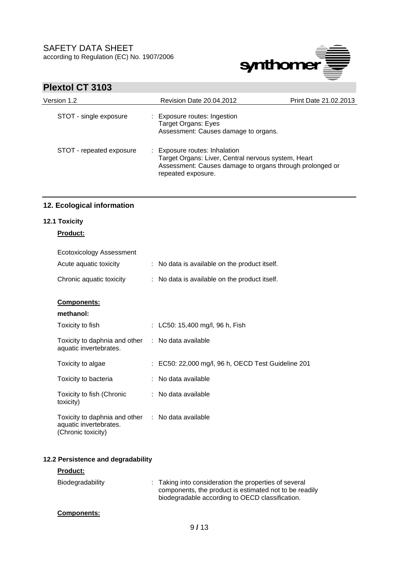

## **Plextol CT 3103**

| Version 1.2              | <b>Revision Date 20.04.2012</b>                                                                                                                                        | Print Date 21.02.2013 |
|--------------------------|------------------------------------------------------------------------------------------------------------------------------------------------------------------------|-----------------------|
| STOT - single exposure   | : Exposure routes: Ingestion<br>Target Organs: Eyes<br>Assessment: Causes damage to organs.                                                                            |                       |
| STOT - repeated exposure | : Exposure routes: Inhalation<br>Target Organs: Liver, Central nervous system, Heart<br>Assessment: Causes damage to organs through prolonged or<br>repeated exposure. |                       |

## **12. Ecological information**

## **12.1 Toxicity**

## **Product:**

| Ecotoxicology Assessment                                                      |                                                    |
|-------------------------------------------------------------------------------|----------------------------------------------------|
| Acute aquatic toxicity                                                        | : No data is available on the product itself.      |
| Chronic aquatic toxicity                                                      | : No data is available on the product itself.      |
| <b>Components:</b>                                                            |                                                    |
| methanol:                                                                     |                                                    |
| Toxicity to fish                                                              | : LC50: 15,400 mg/l, 96 h, Fish                    |
| Toxicity to daphnia and other<br>aquatic invertebrates.                       | : No data available                                |
| Toxicity to algae                                                             | : EC50: 22,000 mg/l, 96 h, OECD Test Guideline 201 |
| Toxicity to bacteria                                                          | : No data available                                |
| Toxicity to fish (Chronic<br>toxicity)                                        | : No data available                                |
| Toxicity to daphnia and other<br>aquatic invertebrates.<br>(Chronic toxicity) | : No data available                                |

## **12.2 Persistence and degradability**

| <b>Product:</b>    |                                                                                                                                                                    |
|--------------------|--------------------------------------------------------------------------------------------------------------------------------------------------------------------|
| Biodegradability   | : Taking into consideration the properties of several<br>components, the product is estimated not to be readily<br>biodegradable according to OECD classification. |
| <b>Components:</b> |                                                                                                                                                                    |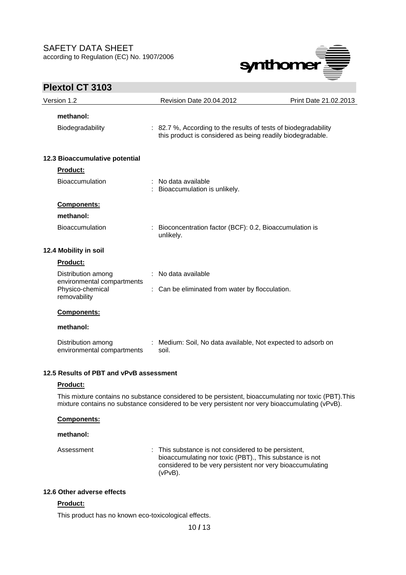

## **Plextol CT 3103**  Version 1.2 Revision Date 20.04.2012 Print Date 21.02.2013 **methanol:**  Biodegradability : 82.7 %, According to the results of tests of biodegradability this product is considered as being readily biodegradable. **12.3 Bioaccumulative potential Product:** Bioaccumulation : No data available : Bioaccumulation is unlikely. **Components: methanol:**  Bioaccumulation : Bioconcentration factor (BCF): 0.2, Bioaccumulation is unlikely. **12.4 Mobility in soil Product:** Distribution among environmental compartments : No data available Physico-chemical removability : Can be eliminated from water by flocculation. **Components: methanol:**  Distribution among environmental compartments : Medium: Soil, No data available, Not expected to adsorb on soil. **12.5 Results of PBT and vPvB assessment Product:** This mixture contains no substance considered to be persistent, bioaccumulating nor toxic (PBT).This

mixture contains no substance considered to be very persistent nor very bioaccumulating (vPvB).

### **Components:**

#### **methanol:**

Assessment : This substance is not considered to be persistent, bioaccumulating nor toxic (PBT)., This substance is not considered to be very persistent nor very bioaccumulating (vPvB).

### **12.6 Other adverse effects**

### **Product:**

This product has no known eco-toxicological effects.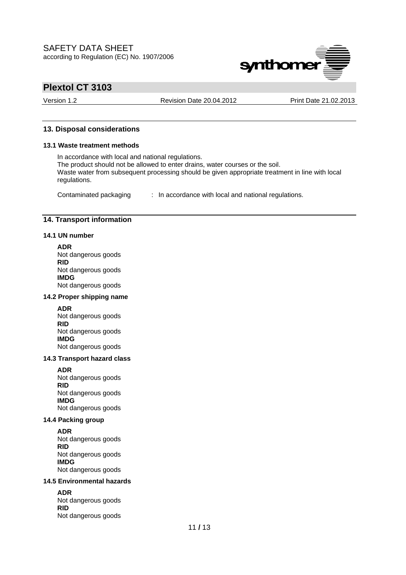

Version 1.2 Revision Date 20.04.2012 Print Date 21.02.2013

### **13. Disposal considerations**

#### **13.1 Waste treatment methods**

In accordance with local and national regulations. The product should not be allowed to enter drains, water courses or the soil. Waste water from subsequent processing should be given appropriate treatment in line with local regulations.

Contaminated packaging : In accordance with local and national regulations.

## **14. Transport information**

### **14.1 UN number**

#### **ADR**

Not dangerous goods **RID**  Not dangerous goods **IMDG**  Not dangerous goods

### **14.2 Proper shipping name**

**ADR**  Not dangerous goods **RID**  Not dangerous goods **IMDG**  Not dangerous goods

### **14.3 Transport hazard class**

**ADR**  Not dangerous goods **RID**  Not dangerous goods **IMDG**  Not dangerous goods

### **14.4 Packing group**

**ADR**  Not dangerous goods **RID**  Not dangerous goods **IMDG**  Not dangerous goods

### **14.5 Environmental hazards**

**ADR**  Not dangerous goods **RID**  Not dangerous goods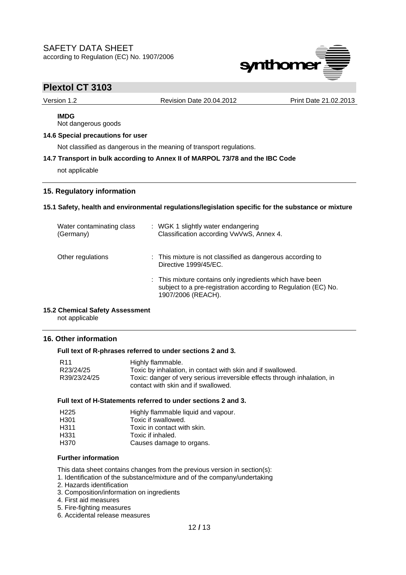

Version 1.2 Revision Date 20.04.2012 Print Date 21.02.2013

# **IMDG**

Not dangerous goods

## **14.6 Special precautions for user**

Not classified as dangerous in the meaning of transport regulations.

### **14.7 Transport in bulk according to Annex II of MARPOL 73/78 and the IBC Code**

not applicable

## **15. Regulatory information**

### **15.1 Safety, health and environmental regulations/legislation specific for the substance or mixture**

| Water contaminating class<br>(Germany) | : WGK 1 slightly water endangering<br>Classification according VwVwS, Annex 4.                                                                   |
|----------------------------------------|--------------------------------------------------------------------------------------------------------------------------------------------------|
| Other regulations                      | : This mixture is not classified as dangerous according to<br>Directive 1999/45/EC.                                                              |
|                                        | : This mixture contains only ingredients which have been<br>subject to a pre-registration according to Regulation (EC) No.<br>1907/2006 (REACH). |

### **15.2 Chemical Safety Assessment**

not applicable

## **16. Other information**

### **Full text of R-phrases referred to under sections 2 and 3.**

| R <sub>11</sub> | Highly flammable.                                                         |
|-----------------|---------------------------------------------------------------------------|
| R23/24/25       | Toxic by inhalation, in contact with skin and if swallowed.               |
| R39/23/24/25    | Toxic: danger of very serious irreversible effects through inhalation, in |
|                 | contact with skin and if swallowed.                                       |

### **Full text of H-Statements referred to under sections 2 and 3.**

| H <sub>225</sub> | Highly flammable liquid and vapour. |
|------------------|-------------------------------------|
| H <sub>301</sub> | Toxic if swallowed.                 |
| H <sub>311</sub> | Toxic in contact with skin.         |
| H <sub>331</sub> | Toxic if inhaled.                   |
| H370             | Causes damage to organs.            |

### **Further information**

This data sheet contains changes from the previous version in section(s):

- 1. Identification of the substance/mixture and of the company/undertaking
- 2. Hazards identification
- 3. Composition/information on ingredients
- 4. First aid measures
- 5. Fire-fighting measures
- 6. Accidental release measures